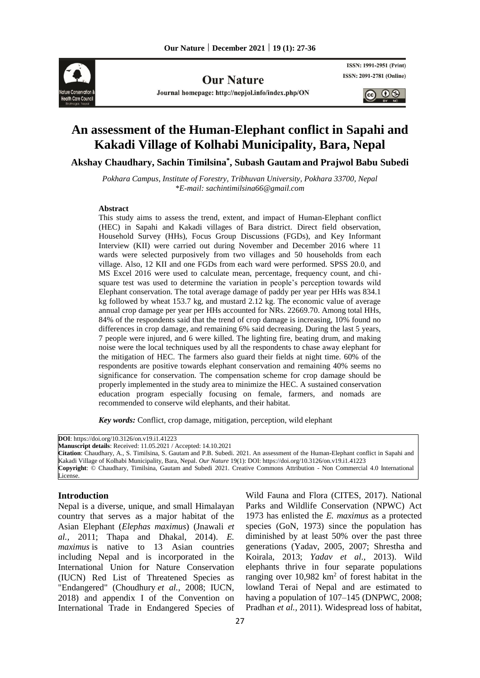

**Our Nature** 

Journal homepage: http://nepjol.info/index.php/ON

ISSN: 1991-2951 (Print) ISSN: 2091-2781 (Online)

 $\bigcirc$ 

# **An assessment of the Human-Elephant conflict in Sapahi and Kakadi Village of Kolhabi Municipality, Bara, Nepal**

**Akshay Chaudhary, Sachin Timilsina\* , Subash Gautam and Prajwol Babu Subedi**

*Pokhara Campus, Institute of Forestry, Tribhuvan University, Pokhara 33700, Nepal \*E-mail[: sachintimilsina66@gmail.com](mailto:sachintimilsina66@gmail.com)*

#### **Abstract**

This study aims to assess the trend, extent, and impact of Human-Elephant conflict (HEC) in Sapahi and Kakadi villages of Bara district. Direct field observation, Household Survey (HHs), Focus Group Discussions (FGDs), and Key Informant Interview (KII) were carried out during November and December 2016 where 11 wards were selected purposively from two villages and 50 households from each village. Also, 12 KII and one FGDs from each ward were performed. SPSS 20.0, and MS Excel 2016 were used to calculate mean, percentage, frequency count, and chisquare test was used to determine the variation in people's perception towards wild Elephant conservation. The total average damage of paddy per year per HHs was 834.1 kg followed by wheat 153.7 kg, and mustard 2.12 kg. The economic value of average annual crop damage per year per HHs accounted for NRs. 22669.70. Among total HHs, 84% of the respondents said that the trend of crop damage is increasing, 10% found no differences in crop damage, and remaining 6% said decreasing. During the last 5 years, 7 people were injured, and 6 were killed. The lighting fire, beating drum, and making noise were the local techniques used by all the respondents to chase away elephant for the mitigation of HEC. The farmers also guard their fields at night time. 60% of the respondents are positive towards elephant conservation and remaining 40% seems no significance for conservation. The compensation scheme for crop damage should be properly implemented in the study area to minimize the HEC. A sustained conservation education program especially focusing on female, farmers, and nomads are recommended to conserve wild elephants, and their habitat.

*Key words:* Conflict, crop damage, mitigation, perception, wild elephant

**DOI**: https://doi.org/10.3126/on.v19.i1.41223 **Manuscript details**: Received: 11.05.2021 / Accepted: 14.10.2021 **Citation**: Chaudhary, A., S. Timilsina, S. Gautam and P.B. Subedi. 2021. An assessment of the Human-Elephant conflict in Sapahi and Kakadi Village of Kolhabi Municipality, Bara, Nepal. *Our Nature* 19(1): DOI: https://doi.org/10.3126/on.v19.i1.41223 **Copyright**: © Chaudhary, Timilsina, Gautam and Subedi 2021. Creative Commons Attribution - Non Commercial 4.0 International License.

## **Introduction**

Nepal is a diverse, unique, and small Himalayan country that serves as a major habitat of the Asian Elephant (*Elephas maximus*) (Jnawali *et al.,* 2011; Thapa and Dhakal, 2014). *E. maximus* is native to 13 Asian countries including Nepal and is incorporated in the International Union for Nature Conservation (IUCN) Red List of Threatened Species as "Endangered" (Choudhury *et al.,* 2008; IUCN, 2018) and appendix I of the Convention on International Trade in Endangered Species of Wild Fauna and Flora (CITES, 2017). National Parks and Wildlife Conservation (NPWC) Act 1973 has enlisted the *E. maximus* as a protected species (GoN, 1973) since the population has diminished by at least 50% over the past three generations (Yadav, 2005, 2007; Shrestha and Koirala, 2013; *Yadav et al.,* 2013). Wild elephants thrive in four separate populations ranging over  $10,982 \text{ km}^2$  of forest habitat in the lowland Terai of Nepal and are estimated to having a population of  $107-145$  (DNPWC, 2008; Pradhan *et al.,* 2011). Widespread loss of habitat,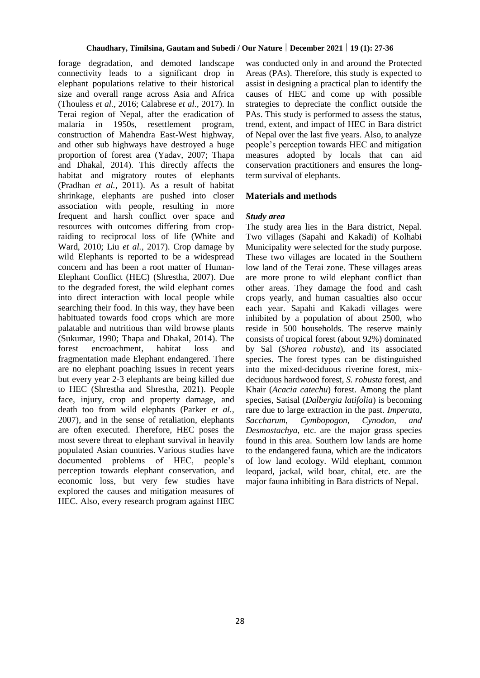forage degradation, and demoted landscape connectivity leads to a significant drop in elephant populations relative to their historical size and overall range across Asia and Africa (Thouless *et al.,* 2016; Calabrese *et al.,* 2017). In Terai region of Nepal, after the eradication of malaria in 1950s, resettlement program, construction of Mahendra East-West highway, and other sub highways have destroyed a huge proportion of forest area (Yadav, 2007; Thapa and Dhakal, 2014). This directly affects the habitat and migratory routes of elephants (Pradhan *et al.,* 2011). As a result of habitat shrinkage, elephants are pushed into closer association with people, resulting in more frequent and harsh conflict over space and resources with outcomes differing from cropraiding to reciprocal loss of life (White and Ward, 2010; Liu *et al.,* 2017). Crop damage by wild Elephants is reported to be a widespread concern and has been a root matter of Human-Elephant Conflict (HEC) (Shrestha, 2007). Due to the degraded forest, the wild elephant comes into direct interaction with local people while searching their food. In this way, they have been habituated towards food crops which are more palatable and nutritious than wild browse plants (Sukumar, 1990; Thapa and Dhakal, 2014). The forest encroachment, habitat loss and fragmentation made Elephant endangered. There are no elephant poaching issues in recent years but every year 2-3 elephants are being killed due to HEC (Shrestha and Shrestha, 2021). People face, injury, crop and property damage, and death too from wild elephants (Parker *et al.,* 2007), and in the sense of retaliation, elephants are often executed. Therefore, HEC poses the most severe threat to elephant survival in heavily populated Asian countries. Various studies have documented problems of HEC, people's perception towards elephant conservation, and economic loss, but very few studies have explored the causes and mitigation measures of HEC. Also, every research program against HEC

was conducted only in and around the Protected Areas (PAs). Therefore, this study is expected to assist in designing a practical plan to identify the causes of HEC and come up with possible strategies to depreciate the conflict outside the PAs. This study is performed to assess the status, trend, extent, and impact of HEC in Bara district of Nepal over the last five years. Also, to analyze people's perception towards HEC and mitigation measures adopted by locals that can aid conservation practitioners and ensures the longterm survival of elephants.

#### **Materials and methods**

#### *Study area*

The study area lies in the Bara district, Nepal. Two villages (Sapahi and Kakadi) of Kolhabi Municipality were selected for the study purpose. These two villages are located in the Southern low land of the Terai zone. These villages areas are more prone to wild elephant conflict than other areas. They damage the food and cash crops yearly, and human casualties also occur each year. Sapahi and Kakadi villages were inhibited by a population of about 2500, who reside in 500 households. The reserve mainly consists of tropical forest (about 92%) dominated by Sal (*Shorea robusta*), and its associated species. The forest types can be distinguished into the mixed-deciduous riverine forest, mixdeciduous hardwood forest, *S. robusta* forest, and Khair (*Acacia catechu*) forest. Among the plant species, Satisal (*Dalbergia latifolia*) is becoming rare due to large extraction in the past. *Imperata, Saccharum*, *Cymbopogon, Cynodon, and Desmostachya,* etc. are the major grass species found in this area. Southern low lands are home to the endangered fauna, which are the indicators of low land ecology. Wild elephant, common leopard, jackal, wild boar, chital, etc. are the major fauna inhibiting in Bara districts of Nepal.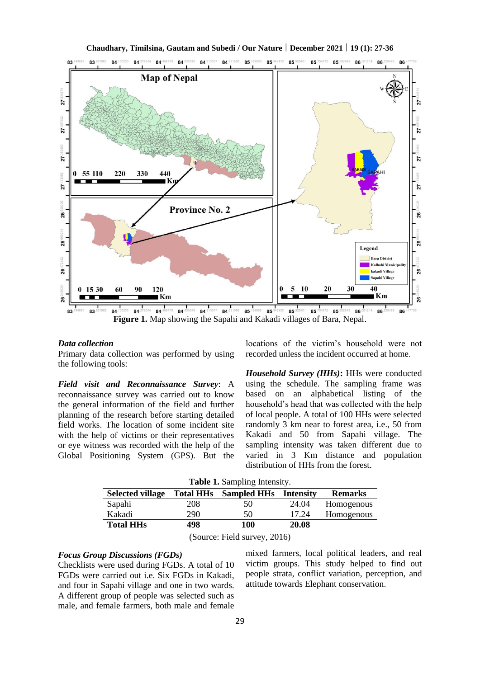

**Chaudhary, Timilsina, Gautam and Subedi / Our Nature | December 2021 | 19 (1): 27-36**

#### *Data collection*

Primary data collection was performed by using the following tools:

*Field visit and Reconnaissance Survey*: A reconnaissance survey was carried out to know the general information of the field and further planning of the research before starting detailed field works. The location of some incident site with the help of victims or their representatives or eye witness was recorded with the help of the Global Positioning System (GPS). But the

locations of the victim's household were not recorded unless the incident occurred at home.

*Household Survey (HHs)***:** HHs were conducted using the schedule. The sampling frame was based on an alphabetical listing of the household's head that was collected with the help of local people. A total of 100 HHs were selected randomly 3 km near to forest area, i.e., 50 from Kakadi and 50 from Sapahi village. The sampling intensity was taken different due to varied in 3 Km distance and population distribution of HHs from the forest.

|  | Table 1. Sampling Intensity. |  |
|--|------------------------------|--|
|--|------------------------------|--|

| <b>Selected village</b> | <b>Total HHs</b> | <b>Sampled HHs</b> | <b>Intensity</b> | <b>Remarks</b> |
|-------------------------|------------------|--------------------|------------------|----------------|
| Sapahi                  | 208              | 50                 | 24.04            | Homogenous     |
| Kakadi                  | 290              | 50                 | 17.24            | Homogenous     |
| <b>Total HHs</b>        | 498              | 100                | 20.08            |                |
|                         |                  |                    |                  |                |

(Source: Field survey, 2016)

# *Focus Group Discussions (FGDs)*

Checklists were used during FGDs. A total of 10 FGDs were carried out i.e. Six FGDs in Kakadi, and four in Sapahi village and one in two wards. A different group of people was selected such as male, and female farmers, both male and female

mixed farmers, local political leaders, and real victim groups. This study helped to find out people strata, conflict variation, perception, and attitude towards Elephant conservation.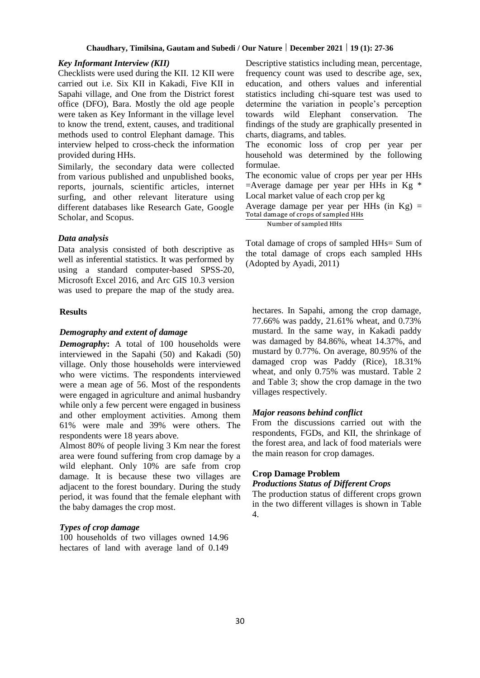#### *Key Informant Interview (KII)*

Checklists were used during the KII. 12 KII were carried out i.e. Six KII in Kakadi, Five KII in Sapahi village, and One from the District forest office (DFO), Bara. Mostly the old age people were taken as Key Informant in the village level to know the trend, extent, causes, and traditional methods used to control Elephant damage. This interview helped to cross-check the information provided during HHs.

Similarly, the secondary data were collected from various published and unpublished books, reports, journals, scientific articles, internet surfing, and other relevant literature using different databases like Research Gate, Google Scholar, and Scopus.

#### *Data analysis*

Data analysis consisted of both descriptive as well as inferential statistics. It was performed by using a standard computer-based SPSS-20, Microsoft Excel 2016, and Arc GIS 10.3 version was used to prepare the map of the study area.

## **Results**

#### *Demography and extent of damage*

*Demography***:** A total of 100 households were interviewed in the Sapahi (50) and Kakadi (50) village. Only those households were interviewed who were victims. The respondents interviewed were a mean age of 56. Most of the respondents were engaged in agriculture and animal husbandry while only a few percent were engaged in business and other employment activities. Among them 61% were male and 39% were others. The respondents were 18 years above.

Almost 80% of people living 3 Km near the forest area were found suffering from crop damage by a wild elephant. Only 10% are safe from crop damage. It is because these two villages are adjacent to the forest boundary. During the study period, it was found that the female elephant with the baby damages the crop most.

### *Types of crop damage*

100 households of two villages owned 14.96 hectares of land with average land of 0.149

Descriptive statistics including mean, percentage, frequency count was used to describe age, sex, education, and others values and inferential statistics including chi-square test was used to determine the variation in people's perception towards wild Elephant conservation. The findings of the study are graphically presented in charts, diagrams, and tables.

The economic loss of crop per year per household was determined by the following formulae.

The economic value of crops per year per HHs  $=$  Average damage per year per HHs in Kg  $*$ Local market value of each crop per kg

Average damage per year per HHs (in  $Kg$ ) = Total damage of crops of sampled HHs

Number of sampled HHs

Total damage of crops of sampled HHs= Sum of the total damage of crops each sampled HHs (Adopted by Ayadi, 2011)

hectares. In Sapahi, among the crop damage, 77.66% was paddy, 21.61% wheat, and 0.73% mustard. In the same way, in Kakadi paddy was damaged by 84.86%, wheat 14.37%, and mustard by 0.77%. On average, 80.95% of the damaged crop was Paddy (Rice), 18.31% wheat, and only 0.75% was mustard. Table 2 and Table 3; show the crop damage in the two villages respectively.

## *Major reasons behind conflict*

From the discussions carried out with the respondents, FGDs, and KII, the shrinkage of the forest area, and lack of food materials were the main reason for crop damages.

#### **Crop Damage Problem**

#### *Productions Status of Different Crops*

The production status of different crops grown in the two different villages is shown in Table 4.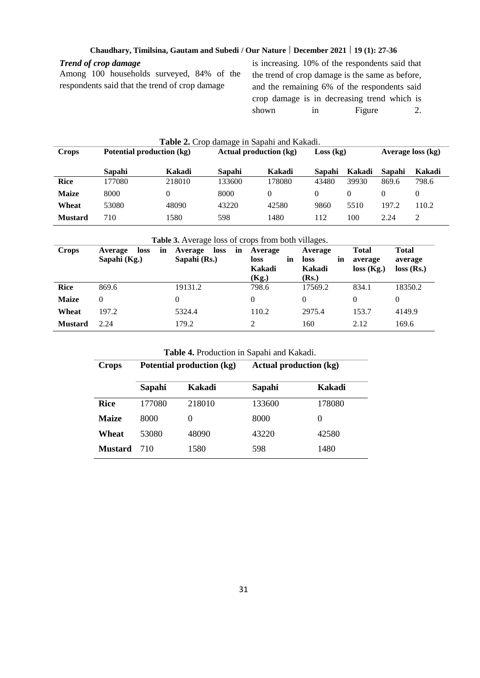# *Trend of crop damage*

Among 100 households surveyed, 84% of the respondents said that the trend of crop damage

is increasing. 10% of the respondents said that the trend of crop damage is the same as before, and the remaining 6% of the respondents said crop damage is in decreasing trend which is shown in Figure 2.

| <b>Table 2.</b> Crop damage in Sapahi and Kakadi. |                           |        |                               |          |           |          |                   |               |
|---------------------------------------------------|---------------------------|--------|-------------------------------|----------|-----------|----------|-------------------|---------------|
| Crops                                             | Potential production (kg) |        | <b>Actual production (kg)</b> |          | Loss (kg) |          | Average loss (kg) |               |
|                                                   | Sapahi                    | Kakadi | Sapahi                        | Kakadi   | Sapahi    | Kakadi   | Sapahi            | Kakadi        |
| <b>Rice</b>                                       | 177080                    | 218010 | 133600                        | 178080   | 43480     | 39930    | 869.6             | 798.6         |
| <b>Maize</b>                                      | 8000                      |        | 8000                          | $\Omega$ |           | $\theta$ | $\theta$          | $\theta$      |
| Wheat                                             | 53080                     | 48090  | 43220                         | 42580    | 9860      | 5510     | 197.2             | 110.2         |
| <b>Mustard</b>                                    | 710                       | 1580   | 598                           | 1480     | 112       | 100      | 2.24              | $\mathcal{L}$ |

# **Table 3.** Average loss of crops from both villages.

| <b>Crops</b>   | loss<br>Average<br>in<br>Sapahi (Kg.) | loss<br>Average<br>in<br>Sapahi (Rs.) | Average<br>in<br>loss<br>Kakadi<br>(Kg.) | Average<br><b>loss</b><br>in<br>Kakadi<br>(Rs.) | <b>Total</b><br>average<br>loss (Kg.) | <b>Total</b><br>average<br>$loss$ (Rs.) |
|----------------|---------------------------------------|---------------------------------------|------------------------------------------|-------------------------------------------------|---------------------------------------|-----------------------------------------|
| Rice           | 869.6                                 | 19131.2                               | 798.6                                    | 17569.2                                         | 834.1                                 | 18350.2                                 |
| <b>Maize</b>   |                                       | 0                                     | 0                                        | 0                                               | 0                                     | $\theta$                                |
| Wheat          | 197.2                                 | 5324.4                                | 110.2                                    | 2975.4                                          | 153.7                                 | 4149.9                                  |
| <b>Mustard</b> | 2.24                                  | 179.2                                 |                                          | 160                                             | 2.12                                  | 169.6                                   |

# **Table 4.** Production in Sapahi and Kakadi.

| <b>Crops</b>   |        | Potential production (kg) | <b>Actual production (kg)</b> |        |
|----------------|--------|---------------------------|-------------------------------|--------|
|                | Sapahi | Kakadi                    | Sapahi                        | Kakadi |
| <b>Rice</b>    | 177080 | 218010                    | 133600                        | 178080 |
| <b>Maize</b>   | 8000   | $\theta$                  | 8000                          | $_{0}$ |
| Wheat          | 53080  | 48090                     | 43220                         | 42580  |
| <b>Mustard</b> | 710    | 1580                      | 598                           | 1480   |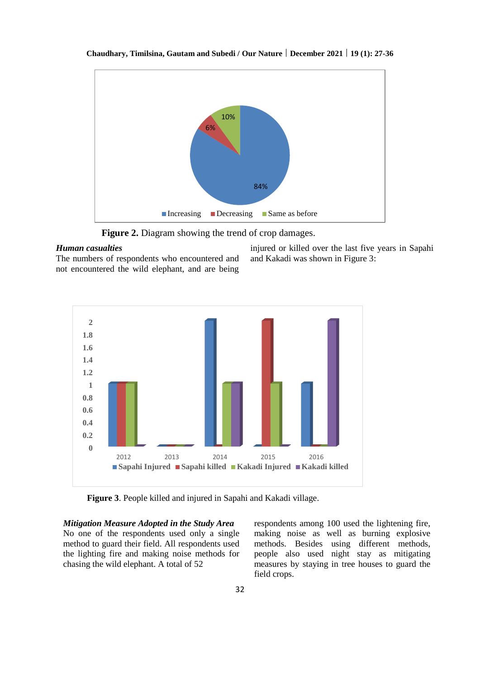

**Chaudhary, Timilsina, Gautam and Subedi / Our Nature | December 2021 | 19 (1): 27-36**

**Figure 2.** Diagram showing the trend of crop damages.

#### *Human casualties*

The numbers of respondents who encountered and not encountered the wild elephant, and are being injured or killed over the last five years in Sapahi and Kakadi was shown in Figure 3:



**Figure 3**. People killed and injured in Sapahi and Kakadi village.

*Mitigation Measure Adopted in the Study Area* No one of the respondents used only a single method to guard their field. All respondents used the lighting fire and making noise methods for chasing the wild elephant. A total of 52

respondents among 100 used the lightening fire, making noise as well as burning explosive methods. Besides using different methods, people also used night stay as mitigating measures by staying in tree houses to guard the field crops.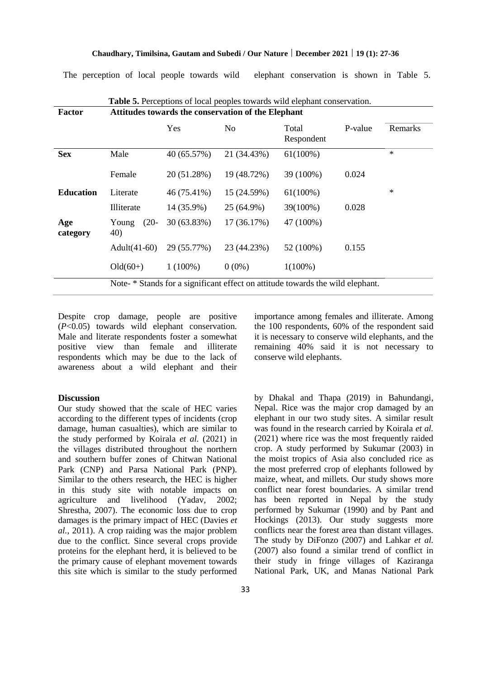The perception of local people towards wild elephant conservation is shown in Table 5.

| Factor           | Attitudes towards the conservation of the Elephant                             |             |             |                     |         |         |  |
|------------------|--------------------------------------------------------------------------------|-------------|-------------|---------------------|---------|---------|--|
|                  |                                                                                | Yes         | No          | Total<br>Respondent | P-value | Remarks |  |
| <b>Sex</b>       | Male                                                                           | 40 (65.57%) | 21 (34.43%) | $61(100\%)$         |         | $\ast$  |  |
|                  | Female                                                                         | 20 (51.28%) | 19 (48.72%) | 39 (100%)           | 0.024   |         |  |
| <b>Education</b> | Literate                                                                       | 46 (75.41%) | 15 (24.59%) | $61(100\%)$         |         | $\ast$  |  |
|                  | Illiterate                                                                     | 14 (35.9%)  | 25 (64.9%)  | 39(100%)            | 0.028   |         |  |
| Age<br>category  | $(20-$<br>Young<br>40)                                                         | 30 (63.83%) | 17(36.17%)  | 47 (100%)           |         |         |  |
|                  | Adult $(41-60)$                                                                | 29 (55.77%) | 23 (44.23%) | 52 (100%)           | 0.155   |         |  |
|                  | $Old(60+)$                                                                     | $1(100\%)$  | $0(0\%)$    | $1(100\%)$          |         |         |  |
|                  | Note- * Stands for a significant effect on attitude towards the wild elephant. |             |             |                     |         |         |  |

Despite crop damage, people are positive (*P*<0.05) towards wild elephant conservation. Male and literate respondents foster a somewhat positive view than female and illiterate respondents which may be due to the lack of awareness about a wild elephant and their

## **Discussion**

Our study showed that the scale of HEC varies according to the different types of incidents (crop damage, human casualties), which are similar to the study performed by Koirala *et al.* (2021) in the villages distributed throughout the northern and southern buffer zones of Chitwan National Park (CNP) and Parsa National Park (PNP). Similar to the others research, the HEC is higher in this study site with notable impacts on agriculture and livelihood (Yadav, 2002; Shrestha, 2007). The economic loss due to crop damages is the primary impact of HEC (Davies *et al.,* 2011). A crop raiding was the major problem due to the conflict. Since several crops provide proteins for the elephant herd, it is believed to be the primary cause of elephant movement towards this site which is similar to the study performed importance among females and illiterate. Among the 100 respondents, 60% of the respondent said it is necessary to conserve wild elephants, and the remaining 40% said it is not necessary to conserve wild elephants.

by Dhakal and Thapa (2019) in Bahundangi, Nepal. Rice was the major crop damaged by an elephant in our two study sites. A similar result was found in the research carried by Koirala *et al.* (2021) where rice was the most frequently raided crop. A study performed by Sukumar (2003) in the moist tropics of Asia also concluded rice as the most preferred crop of elephants followed by maize, wheat, and millets. Our study shows more conflict near forest boundaries. A similar trend has been reported in Nepal by the study performed by Sukumar (1990) and by Pant and Hockings (2013). Our study suggests more conflicts near the forest area than distant villages. The study by DiFonzo (2007) and Lahkar *et al.* (2007) also found a similar trend of conflict in their study in fringe villages of Kaziranga National Park, UK, and Manas National Park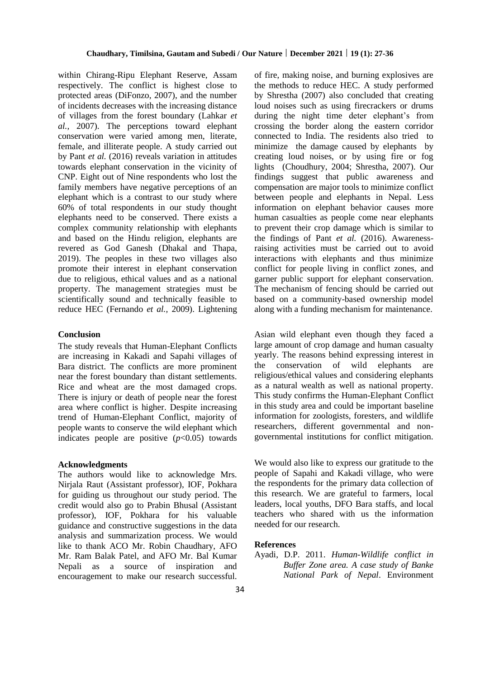within Chirang-Ripu Elephant Reserve, Assam respectively. The conflict is highest close to protected areas (DiFonzo, 2007), and the number of incidents decreases with the increasing distance of villages from the forest boundary (Lahkar *et al.,* 2007). The perceptions toward elephant conservation were varied among men, literate, female, and illiterate people. A study carried out by Pant *et al.* (2016) reveals variation in attitudes towards elephant conservation in the vicinity of CNP. Eight out of Nine respondents who lost the family members have negative perceptions of an elephant which is a contrast to our study where 60% of total respondents in our study thought elephants need to be conserved. There exists a complex community relationship with elephants and based on the Hindu religion, elephants are revered as God Ganesh (Dhakal and Thapa, 2019). The peoples in these two villages also promote their interest in elephant conservation due to religious, ethical values and as a national property. The management strategies must be scientifically sound and technically feasible to reduce HEC (Fernando *et al.,* 2009). Lightening

#### **Conclusion**

The study reveals that Human-Elephant Conflicts are increasing in Kakadi and Sapahi villages of Bara district. The conflicts are more prominent near the forest boundary than distant settlements. Rice and wheat are the most damaged crops. There is injury or death of people near the forest area where conflict is higher. Despite increasing trend of Human-Elephant Conflict, majority of people wants to conserve the wild elephant which indicates people are positive  $(p<0.05)$  towards

## **Acknowledgments**

The authors would like to acknowledge Mrs. Nirjala Raut (Assistant professor), IOF, Pokhara for guiding us throughout our study period. The credit would also go to Prabin Bhusal (Assistant professor), IOF, Pokhara for his valuable guidance and constructive suggestions in the data analysis and summarization process. We would like to thank ACO Mr. Robin Chaudhary, AFO Mr. Ram Balak Patel, and AFO Mr. Bal Kumar Nepali as a source of inspiration and encouragement to make our research successful. of fire, making noise, and burning explosives are the methods to reduce HEC. A study performed by Shrestha (2007) also concluded that creating loud noises such as using firecrackers or drums during the night time deter elephant's from crossing the border along the eastern corridor connected to India. The residents also tried to minimize the damage caused by elephants by creating loud noises, or by using fire or fog lights (Choudhury, 2004; Shrestha, 2007). Our findings suggest that public awareness and compensation are major tools to minimize conflict between people and elephants in Nepal. Less information on elephant behavior causes more human casualties as people come near elephants to prevent their crop damage which is similar to the findings of Pant *et al.* (2016). Awarenessraising activities must be carried out to avoid interactions with elephants and thus minimize conflict for people living in conflict zones, and garner public support for elephant conservation. The mechanism of fencing should be carried out based on a community-based ownership model along with a funding mechanism for maintenance.

Asian wild elephant even though they faced a large amount of crop damage and human casualty yearly. The reasons behind expressing interest in the conservation of wild elephants are religious/ethical values and considering elephants as a natural wealth as well as national property. This study confirms the Human-Elephant Conflict in this study area and could be important baseline information for zoologists, foresters, and wildlife researchers, different governmental and nongovernmental institutions for conflict mitigation.

We would also like to express our gratitude to the people of Sapahi and Kakadi village, who were the respondents for the primary data collection of this research. We are grateful to farmers, local leaders, local youths, DFO Bara staffs, and local teachers who shared with us the information needed for our research.

#### **References**

Ayadi, D.P. 2011. *Human-Wildlife conflict in Buffer Zone area. A case study of Banke National Park of Nepal*. Environment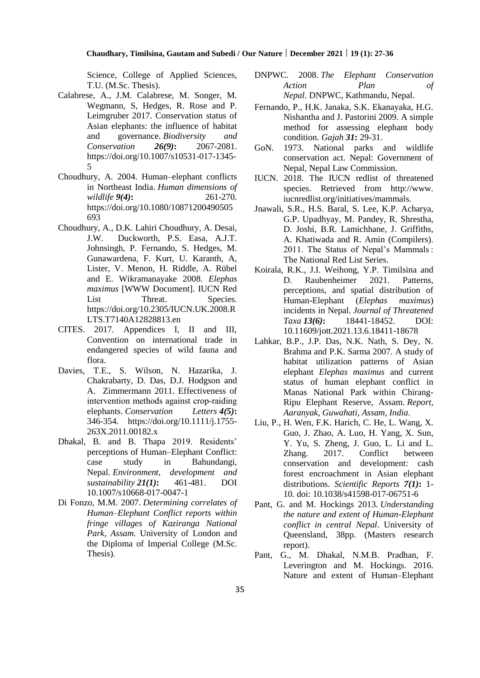Science, College of Applied Sciences, T.U. (M.Sc. Thesis).

- Calabrese, A., J.M. Calabrese, M. Songer, M. Wegmann, S, Hedges, R. Rose and P. Leimgruber 2017. Conservation status of Asian elephants: the influence of habitat and governance. *Biodiversity and Conservation 26(9)***:** 2067-2081. [https://doi.org/10.1007/s10531-017-1345-](https://doi.org/10.1007/s10531-017-1345-5) [5](https://doi.org/10.1007/s10531-017-1345-5)
- Choudhury, A. 2004. Human–elephant conflicts in Northeast India. *Human dimensions of wildlife 9(4)***:** 261-270. [https://doi.org/10.1080/10871200490505](https://doi.org/10.1080/10871200490505693) [693](https://doi.org/10.1080/10871200490505693)
- Choudhury, A., D.K. Lahiri Choudhury, A. Desai, J.W. Duckworth, P.S. Easa, A.J.T. Johnsingh, P. Fernando, S. Hedges, M. Gunawardena, F. Kurt, U. Karanth, A, Lister, V. Menon, H. Riddle, A. Rübel and E. Wikramanayake 2008. *Elephas maximus* [WWW Document]. IUCN Red List Threat. Species. [https://doi.org/10.2305/IUCN.UK.2008.R](https://doi.org/10.2305/IUCN.UK.2008.RLTS.T7140A12828813.en) [LTS.T7140A12828813.en](https://doi.org/10.2305/IUCN.UK.2008.RLTS.T7140A12828813.en)
- CITES. 2017. Appendices I, II and III, Convention on international trade in endangered species of wild fauna and flora.
- Davies, T.E., S. Wilson, N. Hazarika, J. Chakrabarty, D. Das, D.J. Hodgson and A. Zimmermann 2011. Effectiveness of intervention methods against crop‐raiding elephants. *Conservation Letters 4(5)***:** 346-354. [https://doi.org/10.1111/j.1755-](https://doi.org/10.1111/j.1755-263X.2011.00182.x) [263X.2011.00182.x](https://doi.org/10.1111/j.1755-263X.2011.00182.x)
- Dhakal, B. and B. Thapa 2019. Residents' perceptions of Human–Elephant Conflict: case study in Bahundangi, Nepal. *Environment, development and sustainability 21(1)***:** 461-481. DOI 10.1007/s10668-017-0047-1
- Di Fonzo, M.M. 2007. *Determining correlates of Human–Elephant Conflict reports within fringe villages of Kaziranga National Park, Assam.* University of London and the Diploma of Imperial College (M.Sc. Thesis)*.*
- DNPWC. 2008. *The Elephant Conservation Action Plan of Nepal*. DNPWC, Kathmandu, Nepal.
- Fernando, P., H.K. Janaka, S.K. Ekanayaka, H.G. Nishantha and J. Pastorini 2009. A simple method for assessing elephant body condition. *Gajah 31***:** 29-31.
- GoN. 1973. National parks and wildlife conservation act. Nepal: Government of Nepal, Nepal Law Commission.
- IUCN. 2018. The IUCN redlist of threatened species. Retrieved from http://www. iucnredlist.org/initiatives/mammals.
- Jnawali, S.R., H.S. Baral, S. Lee, K.P. Acharya, G.P. Upadhyay, M. Pandey, R. Shrestha, D. Joshi, B.R. Lamichhane, J. Griffiths, A. Khatiwada and R. Amin (Compilers). 2011. The Status of Nepal's Mammals : The National Red List Series.
- Koirala, R.K., J.I. Weihong, Y.P. Timilsina and D. Raubenheimer 2021. Patterns, perceptions, and spatial distribution of Human-Elephant (*Elephas maximus*) incidents in Nepal. *Journal of Threatened Taxa 13(6)***:** 18441-18452. DOI: 10.11609/jott.2021.13.6.18411-18678
- Lahkar, B.P., J.P. Das, N.K. Nath, S. Dey, N. Brahma and P.K. Sarma 2007. A study of habitat utilization patterns of Asian elephant *Elephas maximus* and current status of human elephant conflict in Manas National Park within Chirang-Ripu Elephant Reserve, Assam. *Report, Aaranyak, Guwahati, Assam, India*.
- Liu, P., H. Wen, F.K. Harich, C. He, L. Wang, X. Guo, J. Zhao, A. Luo, H. Yang, X. Sun, Y. Yu, S. Zheng, J. Guo, L. Li and L. Zhang. 2017. Conflict between conservation and development: cash forest encroachment in Asian elephant distributions. *Scientific Reports 7(1)***:** 1- 10. doi: 10.1038/s41598-017-06751-6
- Pant, G. and M. Hockings 2013. *Understanding the nature and extent of Human-Elephant conflict in central Nepal*. University of Queensland, 38pp. (Masters research report).
- Pant, G., M. Dhakal, N.M.B. Pradhan, F. Leverington and M. Hockings. 2016. Nature and extent of Human–Elephant